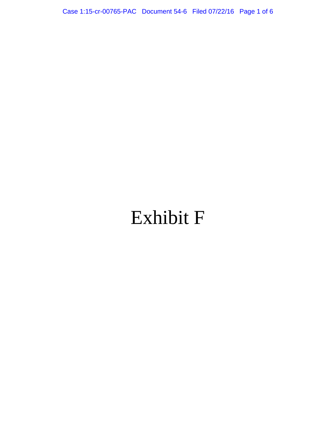Case 1:15-cr-00765-PAC Document 54-6 Filed 07/22/16 Page 1 of 6

# Exhibit F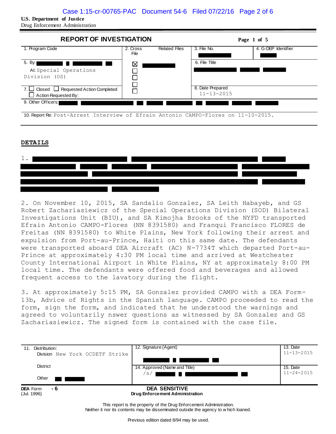**U.S. Department of Justice** 

Drug Enforcement Administration



10. Report Re: Post-Arrest Interview of Efrain Antonio CAMPO-Flores on 11-10-2015.

#### **DETAILS**



2. On November 10, 2015, SA Sandalio Gonzalez, SA Leith Habayeb, and GS Robert Zachariasiewicz of the Special Operations Division (SOD) Bilateral Investigations Unit (BIU), and SA Kimojha Brooks of the NYFD transported Efrain Antonio CAMPO-Flores (NN 8391580) and Franqui Francisco FLORES de Freitas (NN 8391580) to White Plains, New York following their arrest and expulsion from Port-au-Prince, Haiti on this same date. The defendants were transported aboard DEA Aircraft (AC) N-7734T which departed Port-au-Prince at approximately 4:30 PM local time and arrived at Westchester County International Airport in White Plains, NY at approximately 8:00 PM local time. The defendants were offered food and beverages and allowed frequent access to the lavatory during the flight.

3. At approximately 5:15 PM, SA Gonzalez provided CAMPO with a DEA Form-13b, Advice of Rights in the Spanish language. CAMPO proceeded to read the form, sign the form, and indicated that he understood the warnings and agreed to voluntarily nswer questions as witnessed by SA Gonzalez and GS Zachariasiewicz. The signed form is contained with the case file.



This report is the property of the Drug Enforcement Administration. Neither it nor its contents may be disseminated outside the agency to w hich loaned.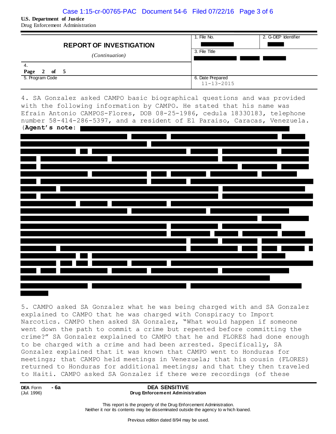### Case 1:15-cr-00765-PAC Document 54-6 Filed 07/22/16 Page 3 of 6

**U.S. Department of Justice**  Drug Enforcement Administration

|                                | 1. File No.      | 2. G-DEP Identifier |
|--------------------------------|------------------|---------------------|
| <b>REPORT OF INVESTIGATION</b> |                  |                     |
| <i>(Continuation)</i>          | 3. File Title    |                     |
|                                |                  |                     |
| -4.                            |                  |                     |
| of $5$<br>Page<br><sup>2</sup> |                  |                     |
| 5. Program Code                | 6. Date Prepared |                     |
|                                | $11 - 13 - 2015$ |                     |

4. SA Gonzalez asked CAMPO basic biographical questions and was provided with the following information by CAMPO. He stated that his name was Efrain Antonio CAMPOS-Flores, DOB 08-25-1986, cedula 18330183, telephone number 58-414-286-5397, and a resident of El Paraiso, Caracas, Venezuela. (**Agent's note**:



5. CAMPO asked SA Gonzalez what he was being charged with and SA Gonzalez explained to CAMPO that he was charged with Conspiracy to Import Narcotics. CAMPO then asked SA Gonzalez, "What would happen if someone went down the path to commit a crime but repented before committing the crime?" SA Gonzalez explained to CAMPO that he and FLORES had done enough to be charged with a crime and had been arrested. Specifically, SA Gonzalez explained that it was known that CAMPO went to Honduras for meetings; that CAMPO held meetings in Venezuela; that his cousin (FLORES) returned to Honduras for additional meetings; and that they then traveled to Haiti. CAMPO asked SA Gonzalez if there were recordings (of these

**DEA** Form **- 6a** (Jul. 1996)

#### **DEA SENSITIVE Drug Enforcement Administration**

This report is the property of the Drug Enforcement Administration. Neither it nor its contents may be disseminated outside the agency to w hich loaned.

Previous edition dated 8/94 may be used.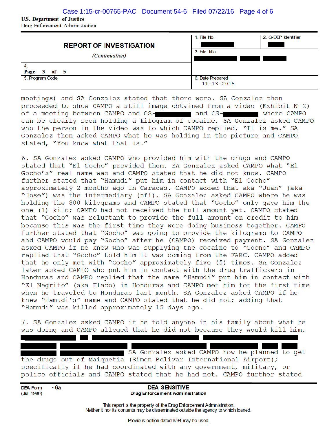## Case 1:15-cr-00765-PAC Document 54-6 Filed 07/22/16 Page 4 of 6

**U.S. Department of Justice** Drug Enforcement Administration

| <b>REPORT OF INVESTIGATION</b><br><i>(Continuation)</i><br>4.<br>$3$ of $5$<br>Page | 1. File No.<br>3. File Title         | 2. G-DEP Identifier |
|-------------------------------------------------------------------------------------|--------------------------------------|---------------------|
| 5. Program Code                                                                     | 6. Date Prepared<br>$11 - 13 - 2015$ |                     |

meetings) and SA Gonzalez stated that there were. SA Gonzalez then proceeded to show CAMPO a still image obtained from a video (Exhibit N-2) of a meeting between CAMPO and CS- and CS- and CS- where CAMPO can be clearly seen holding a kilogram of cocaine. SA Gonzalez asked CAMPO who the person in the video was to which CAMPO replied, "It is me." SA Gonzalez then asked CAMPO what he was holding in the picture and CAMPO stated, "You know what that is."

6. SA Gonzalez asked CAMPO who provided him with the drugs and CAMPO stated that "El Gocho" provided them. SA Gonzalez asked CAMPO what "El Gocho's" real name was and CAMPO stated that he did not know. CAMPO further stated that "Hamudi" put him in contact with "El Gocho" approximately 2 months ago in Caracas. CAMPO added that aka "Juan" (aka "Jose") was the intermediary (nfi). SA Gonzalez asked CAMPO where he was holding the 800 kilograms and CAMPO stated that "Gocho" only gave him the one (1) kilo; CAMPO had not received the full amount yet. CAMPO stated that "Gocho" was reluctant to provide the full amount on credit to him because this was the first time they were doing business together. CAMPO further stated that "Gocho" was going to provide the kilograms to CAMPO and CAMPO would pay "Gocho" after he (CAMPO) received payment. SA Gonzalez asked CAMPO if he knew who was supplying the cocaine to "Gocho" and CAMPO replied that "Gocho" told him it was coming from the FARC. CAMPO added that he only met with "Gocho" approximately five (5) times. SA Gonzalez later asked CAMPO who put him in contact with the drug traffickers in Honduras and CAMPO replied that the same "Hamudi" put him in contact with "El Negrito" (aka Flaco) in Honduras and CAMPO met him for the first time when he traveled to Honduras last month. SA Gonzalez asked CAMPO if he knew "Hamudi's" name and CAMPO stated that he did not; adding that "Hamudi" was killed approximately 15 days ago.

7. SA Gonzalez asked CAMPO if he told anyone in his family about what he was doing and CAMPO alleged that he did not because they would kill him.

 $\blacksquare$ SA Gonzalez asked CAMPO how he planned to get the drugs out of Maiquetia (Simon Bolivar International Airport); specifically if he had coordinated with any government, military, or police officials and CAMPO stated that he had not. CAMPO further stated

- 6a **DEA** Form (Jul. 1996)

**DEA SENSITIVE Drug Enforcement Administration** 

This report is the property of the Drug Enforcement Administration. Neither it nor its contents may be disseminated outside the agency to which loaned.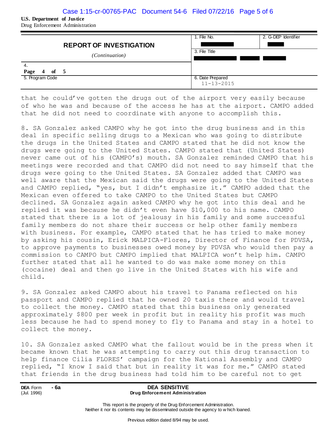## Case 1:15-cr-00765-PAC Document 54-6 Filed 07/22/16 Page 5 of 6

**U.S. Department of Justice**  Drug Enforcement Administration

| <b>REPORT OF INVESTIGATION</b><br><i>(Continuation)</i><br>-4.<br>Page<br>of $5$<br>$\overline{4}$ | 1. File No.<br>3. File Title         | 2. G-DEP Identifier |
|----------------------------------------------------------------------------------------------------|--------------------------------------|---------------------|
|                                                                                                    |                                      |                     |
| 5. Program Code                                                                                    | 6. Date Prepared<br>$11 - 13 - 2015$ |                     |

that he could've gotten the drugs out of the airport very easily because of who he was and because of the access he has at the airport. CAMPO added that he did not need to coordinate with anyone to accomplish this.

8. SA Gonzalez asked CAMPO why he got into the drug business and in this deal in specific selling drugs to a Mexican who was going to distribute the drugs in the United States and CAMPO stated that he did not know the drugs were going to the United States. CAMPO stated that (United States) never came out of his (CAMPO's) mouth. SA Gonzalez reminded CAMPO that his meetings were recorded and that CAMPO did not need to say himself that the drugs were going to the United States. SA Gonzalez added that CAMPO was well aware that the Mexican said the drugs were going to the United States and CAMPO replied, "yes, but I didn't emphasize it." CAMPO added that the Mexican even offered to take CAMPO to the United States but CAMPO declined. SA Gonzalez again asked CAMPO why he got into this deal and he replied it was because he didn't even have \$10,000 to his name. CAMPO stated that there is a lot of jealousy in his family and some successful family members do not share their success or help other family members with business. For example, CAMPO stated that he has tried to make money by asking his cousin, Erick MALPICA-Flores, Director of Finance for PDVSA, to approve payments to businesses owed money by PDVSA who would then pay a commission to CAMPO but CAMPO implied that MALPICA won't help him. CAMPO further stated that all he wanted to do was make some money on this (cocaine) deal and then go live in the United States with his wife and child.

9. SA Gonzalez asked CAMPO about his travel to Panama reflected on his passport and CAMPO replied that he owned 20 taxis there and would travel to collect the money. CAMPO stated that this business only generated approximately \$800 per week in profit but in reality his profit was much less because he had to spend money to fly to Panama and stay in a hotel to collect the money.

10. SA Gonzalez asked CAMPO what the fallout would be in the press when it became known that he was attempting to carry out this drug transaction to help finance Cilia FLORES' campaign for the National Assembly and CAMPO replied, "I know I said that but in reality it was for me." CAMPO stated that friends in the drug business had told him to be careful not to get

**DEA** Form **- 6a** (Jul. 1996)

#### **DEA SENSITIVE Drug Enforcement Administration**

This report is the property of the Drug Enforcement Administration. Neither it nor its contents may be disseminated outside the agency to w hich loaned.

Previous edition dated 8/94 may be used.